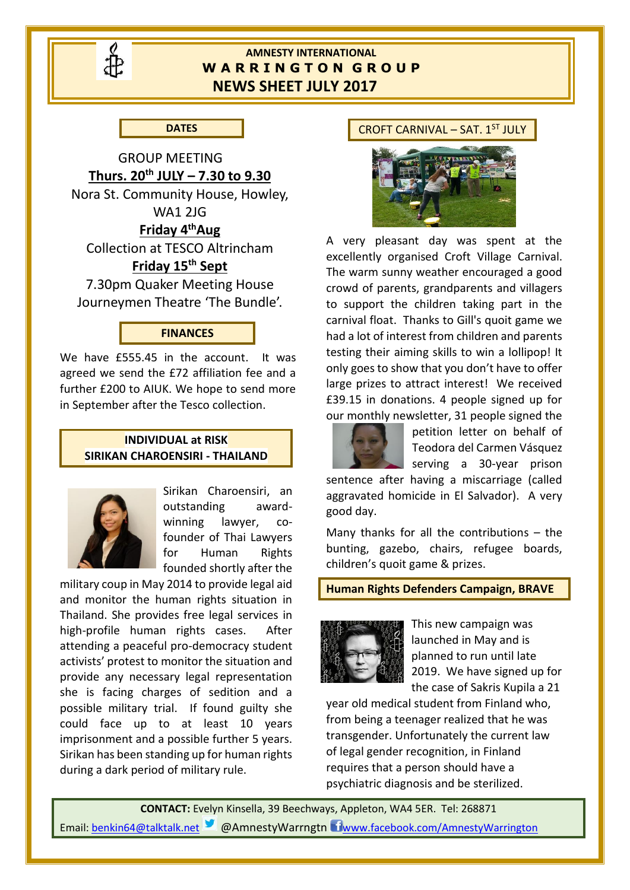

# **AMNESTY INTERNATIONAL W A R R I N G T O N G R O U P NEWS SHEET JULY 2017**

**DATES**

GROUP MEETING **Thurs. 20th JULY – 7.30 to 9.30** Nora St. Community House, Howley, WA1 2JG **Friday 4thAug** Collection at TESCO Altrincham **Friday 15th Sept** 7.30pm Quaker Meeting House

Journeymen Theatre 'The Bundle'.

## **FINANCES**

We have £555.45 in the account. It was agreed we send the £72 affiliation fee and a further £200 to AIUK. We hope to send more in September after the Tesco collection.

#### **INDIVIDUAL at RISK SIRIKAN CHAROENSIRI - THAILAND**



Sirikan Charoensiri, an outstanding awardwinning lawyer, cofounder of Thai Lawyers for Human Rights founded shortly after the

military coup in May 2014 to provide legal aid and monitor the human rights situation in Thailand. She provides free legal services in high-profile human rights cases. After attending a peaceful pro-democracy student activists' protest to monitor the situation and provide any necessary legal representation she is facing charges of sedition and a possible military trial. If found guilty she could face up to at least 10 years imprisonment and a possible further 5 years. Sirikan has been standing up for human rights during a dark period of military rule.

#### CROFT CARNIVAL – SAT.  $1<sup>ST</sup>$  JULY



A very pleasant day was spent at the excellently organised Croft Village Carnival. The warm sunny weather encouraged a good crowd of parents, grandparents and villagers to support the children taking part in the carnival float. Thanks to Gill's quoit game we had a lot of interest from children and parents testing their aiming skills to win a lollipop! It only goes to show that you don't have to offer large prizes to attract interest! We received £39.15 in donations. 4 people signed up for our monthly newsletter, 31 people signed the



petition letter on behalf of Teodora del Carmen Vásquez serving a 30-year prison

sentence after having a miscarriage (called aggravated homicide in El Salvador). A very good day.

Many thanks for all the contributions – the bunting, gazebo, chairs, refugee boards, children's quoit game & prizes.

## **Human Rights Defenders Campaign, BRAVE**



This new campaign was launched in May and is planned to run until late 2019. We have signed up for the case of Sakris Kupila a 21

year old medical student from Finland who, from being a teenager realized that he was transgender. Unfortunately the current law of legal gender recognition, in Finland requires that a person should have a psychiatric diagnosis and be sterilized.

**CONTACT:** Evelyn Kinsella, 39 Beechways, Appleton, WA4 5ER. Tel: 268871 Email[: benkin64@talktalk.net](mailto:benkin64@talktalk.net) **3** @AmnestyWarrngtn U[www.facebook.com/AmnestyWarrington](http://www.facebook.com/AmnestyWarrington)